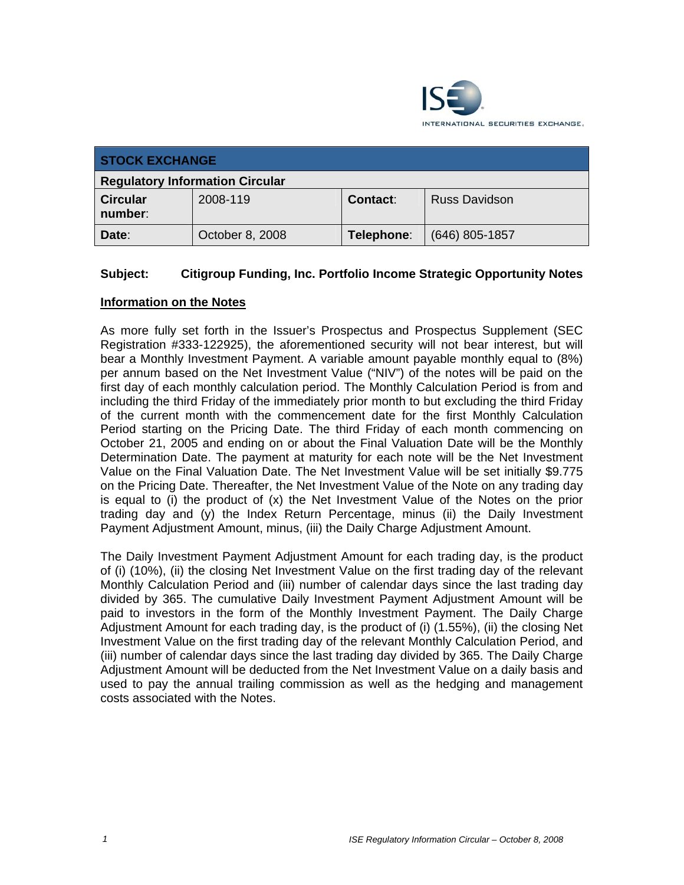

| <b>STOCK EXCHANGE</b>                  |                 |            |                      |  |
|----------------------------------------|-----------------|------------|----------------------|--|
| <b>Regulatory Information Circular</b> |                 |            |                      |  |
| <b>Circular</b><br>number:             | 2008-119        | Contact:   | <b>Russ Davidson</b> |  |
| Date:                                  | October 8, 2008 | Telephone: | $(646)$ 805-1857     |  |

# **Subject: Citigroup Funding, Inc. Portfolio Income Strategic Opportunity Notes**

### **Information on the Notes**

As more fully set forth in the Issuer's Prospectus and Prospectus Supplement (SEC Registration #333-122925), the aforementioned security will not bear interest, but will bear a Monthly Investment Payment. A variable amount payable monthly equal to (8%) per annum based on the Net Investment Value ("NIV") of the notes will be paid on the first day of each monthly calculation period. The Monthly Calculation Period is from and including the third Friday of the immediately prior month to but excluding the third Friday of the current month with the commencement date for the first Monthly Calculation Period starting on the Pricing Date. The third Friday of each month commencing on October 21, 2005 and ending on or about the Final Valuation Date will be the Monthly Determination Date. The payment at maturity for each note will be the Net Investment Value on the Final Valuation Date. The Net Investment Value will be set initially \$9.775 on the Pricing Date. Thereafter, the Net Investment Value of the Note on any trading day is equal to (i) the product of (x) the Net Investment Value of the Notes on the prior trading day and (y) the Index Return Percentage, minus (ii) the Daily Investment Payment Adjustment Amount, minus, (iii) the Daily Charge Adjustment Amount.

The Daily Investment Payment Adjustment Amount for each trading day, is the product of (i) (10%), (ii) the closing Net Investment Value on the first trading day of the relevant Monthly Calculation Period and (iii) number of calendar days since the last trading day divided by 365. The cumulative Daily Investment Payment Adjustment Amount will be paid to investors in the form of the Monthly Investment Payment. The Daily Charge Adjustment Amount for each trading day, is the product of (i) (1.55%), (ii) the closing Net Investment Value on the first trading day of the relevant Monthly Calculation Period, and (iii) number of calendar days since the last trading day divided by 365. The Daily Charge Adjustment Amount will be deducted from the Net Investment Value on a daily basis and used to pay the annual trailing commission as well as the hedging and management costs associated with the Notes.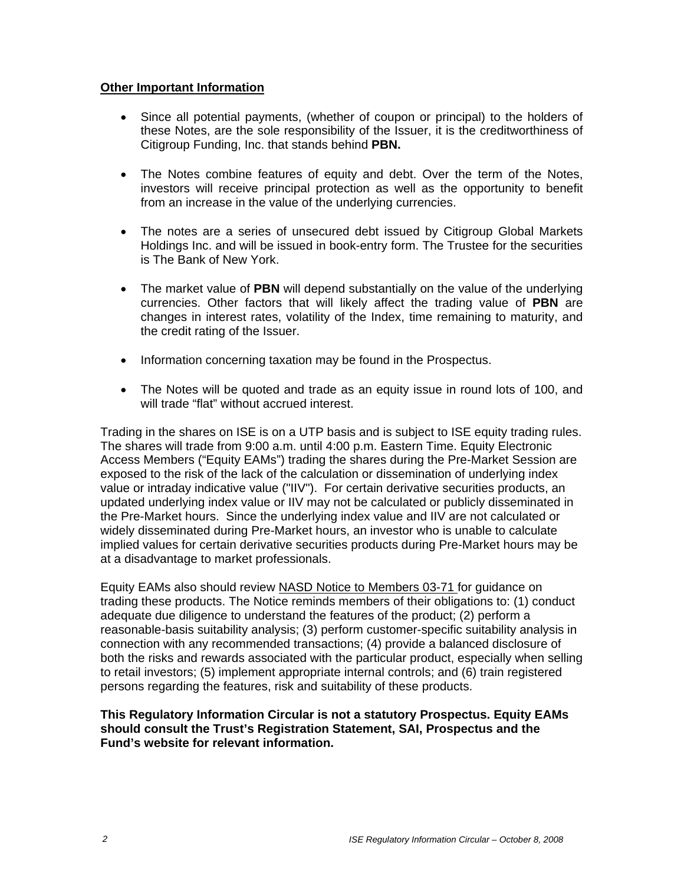#### **Other Important Information**

- Since all potential payments, (whether of coupon or principal) to the holders of these Notes, are the sole responsibility of the Issuer, it is the creditworthiness of Citigroup Funding, Inc. that stands behind **PBN.**
- The Notes combine features of equity and debt. Over the term of the Notes, investors will receive principal protection as well as the opportunity to benefit from an increase in the value of the underlying currencies.
- The notes are a series of unsecured debt issued by Citigroup Global Markets Holdings Inc. and will be issued in book-entry form. The Trustee for the securities is The Bank of New York.
- The market value of **PBN** will depend substantially on the value of the underlying currencies. Other factors that will likely affect the trading value of **PBN** are changes in interest rates, volatility of the Index, time remaining to maturity, and the credit rating of the Issuer.
- Information concerning taxation may be found in the Prospectus.
- The Notes will be quoted and trade as an equity issue in round lots of 100, and will trade "flat" without accrued interest.

Trading in the shares on ISE is on a UTP basis and is subject to ISE equity trading rules. The shares will trade from 9:00 a.m. until 4:00 p.m. Eastern Time. Equity Electronic Access Members ("Equity EAMs") trading the shares during the Pre-Market Session are exposed to the risk of the lack of the calculation or dissemination of underlying index value or intraday indicative value ("IIV"). For certain derivative securities products, an updated underlying index value or IIV may not be calculated or publicly disseminated in the Pre-Market hours. Since the underlying index value and IIV are not calculated or widely disseminated during Pre-Market hours, an investor who is unable to calculate implied values for certain derivative securities products during Pre-Market hours may be at a disadvantage to market professionals.

Equity EAMs also should review NASD Notice to Members 03-71 for guidance on trading these products. The Notice reminds members of their obligations to: (1) conduct adequate due diligence to understand the features of the product; (2) perform a reasonable-basis suitability analysis; (3) perform customer-specific suitability analysis in connection with any recommended transactions; (4) provide a balanced disclosure of both the risks and rewards associated with the particular product, especially when selling to retail investors; (5) implement appropriate internal controls; and (6) train registered persons regarding the features, risk and suitability of these products.

### **This Regulatory Information Circular is not a statutory Prospectus. Equity EAMs should consult the Trust's Registration Statement, SAI, Prospectus and the Fund's website for relevant information.**